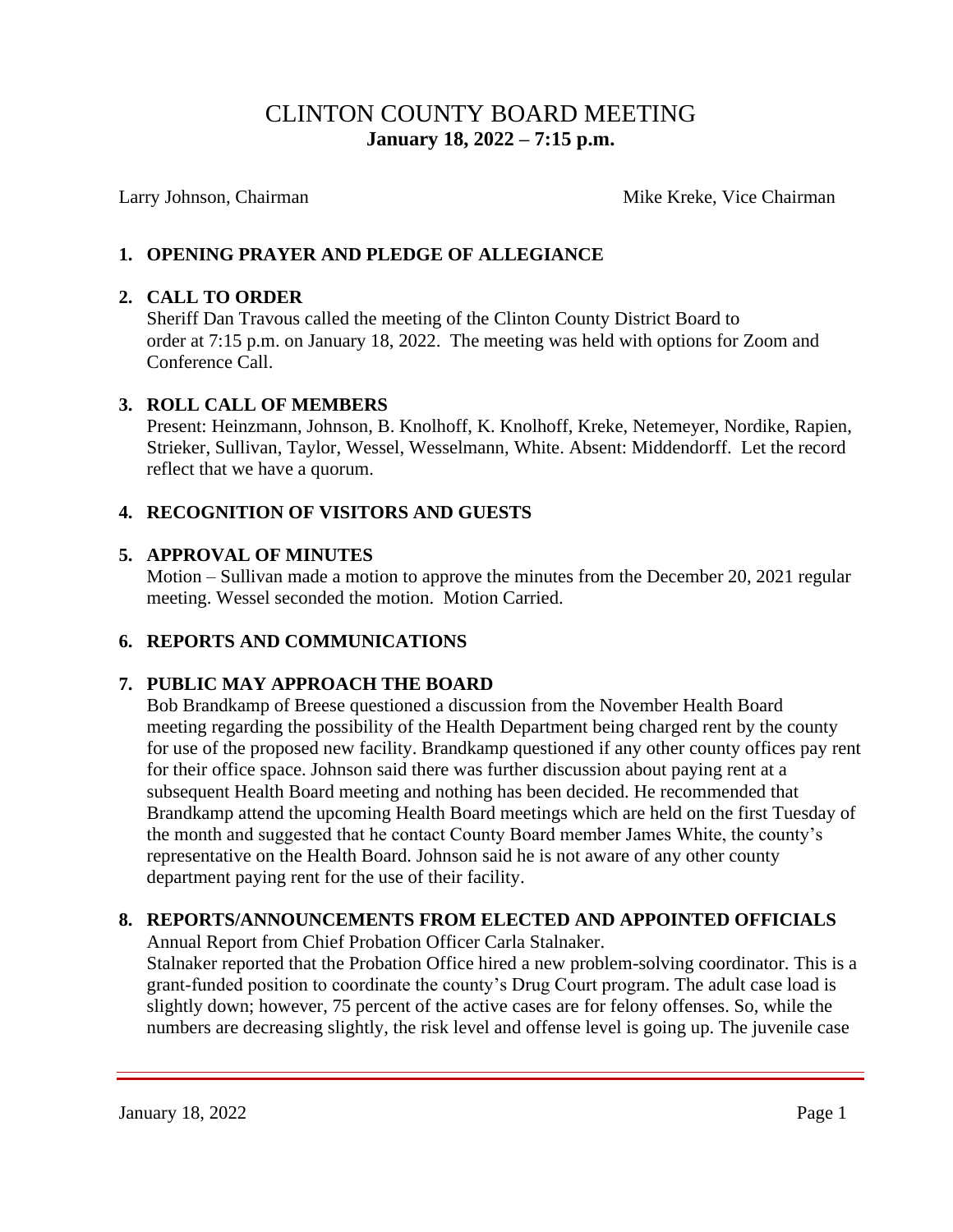# CLINTON COUNTY BOARD MEETING  **January 18, 2022 – 7:15 p.m.**

Larry Johnson, Chairman Mike Kreke, Vice Chairman Mike Kreke, Vice Chairman

### **1. OPENING PRAYER AND PLEDGE OF ALLEGIANCE**

#### **2. CALL TO ORDER**

Sheriff Dan Travous called the meeting of the Clinton County District Board to order at 7:15 p.m. on January 18, 2022. The meeting was held with options for Zoom and Conference Call.

#### **3. ROLL CALL OF MEMBERS**

Present: Heinzmann, Johnson, B. Knolhoff, K. Knolhoff, Kreke, Netemeyer, Nordike, Rapien, Strieker, Sullivan, Taylor, Wessel, Wesselmann, White. Absent: Middendorff. Let the record reflect that we have a quorum.

#### **4. RECOGNITION OF VISITORS AND GUESTS**

#### **5. APPROVAL OF MINUTES**

Motion – Sullivan made a motion to approve the minutes from the December 20, 2021 regular meeting. Wessel seconded the motion. Motion Carried.

#### **6. REPORTS AND COMMUNICATIONS**

#### **7. PUBLIC MAY APPROACH THE BOARD**

Bob Brandkamp of Breese questioned a discussion from the November Health Board meeting regarding the possibility of the Health Department being charged rent by the county for use of the proposed new facility. Brandkamp questioned if any other county offices pay rent for their office space. Johnson said there was further discussion about paying rent at a subsequent Health Board meeting and nothing has been decided. He recommended that Brandkamp attend the upcoming Health Board meetings which are held on the first Tuesday of the month and suggested that he contact County Board member James White, the county's representative on the Health Board. Johnson said he is not aware of any other county department paying rent for the use of their facility.

#### **8. REPORTS/ANNOUNCEMENTS FROM ELECTED AND APPOINTED OFFICIALS**

Annual Report from Chief Probation Officer Carla Stalnaker.

 Stalnaker reported that the Probation Office hired a new problem-solving coordinator. This is a grant-funded position to coordinate the county's Drug Court program. The adult case load is slightly down; however, 75 percent of the active cases are for felony offenses. So, while the numbers are decreasing slightly, the risk level and offense level is going up. The juvenile case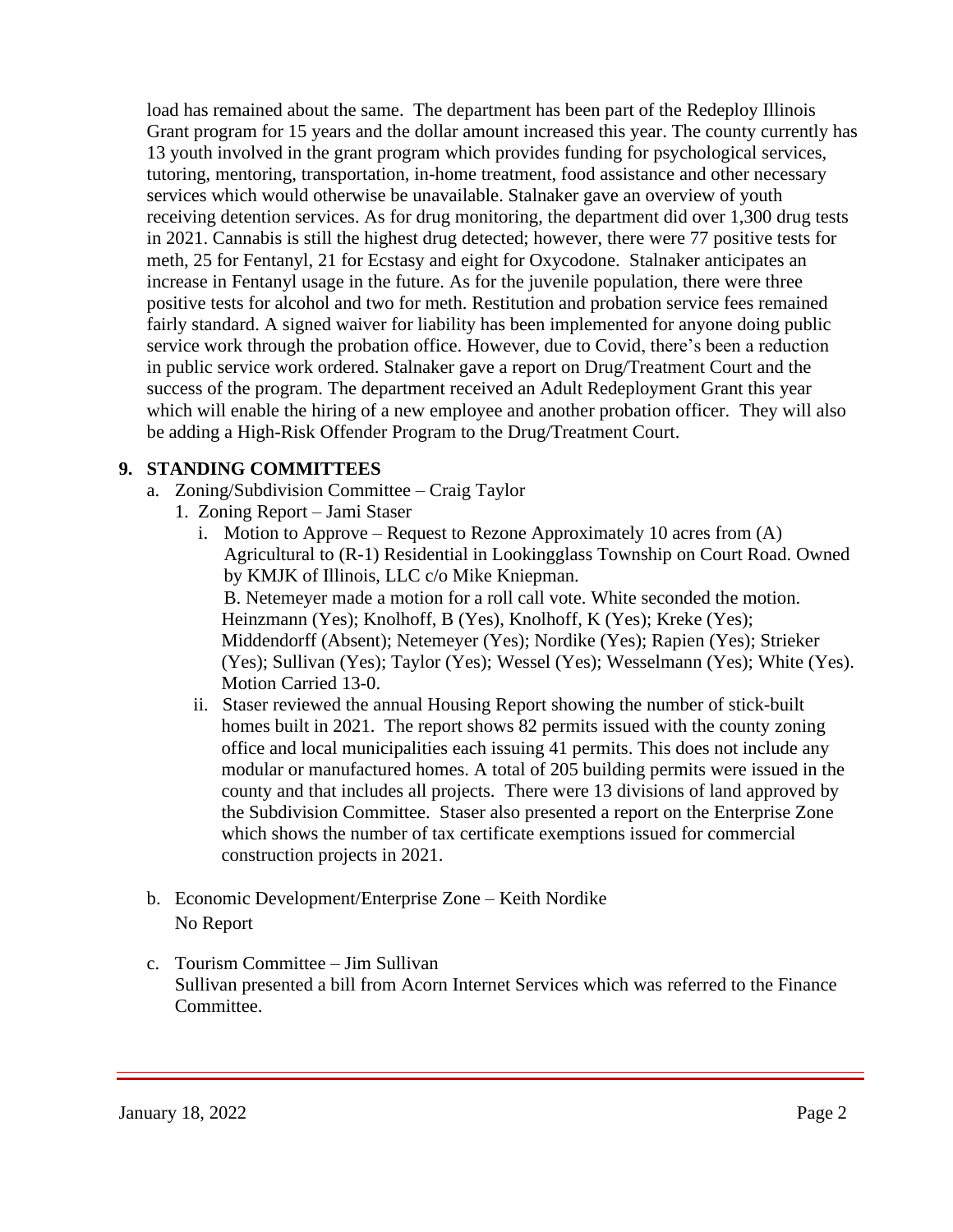load has remained about the same. The department has been part of the Redeploy Illinois Grant program for 15 years and the dollar amount increased this year. The county currently has 13 youth involved in the grant program which provides funding for psychological services, tutoring, mentoring, transportation, in-home treatment, food assistance and other necessary services which would otherwise be unavailable. Stalnaker gave an overview of youth receiving detention services. As for drug monitoring, the department did over 1,300 drug tests in 2021. Cannabis is still the highest drug detected; however, there were 77 positive tests for meth, 25 for Fentanyl, 21 for Ecstasy and eight for Oxycodone. Stalnaker anticipates an increase in Fentanyl usage in the future. As for the juvenile population, there were three positive tests for alcohol and two for meth. Restitution and probation service fees remained fairly standard. A signed waiver for liability has been implemented for anyone doing public service work through the probation office. However, due to Covid, there's been a reduction in public service work ordered. Stalnaker gave a report on Drug/Treatment Court and the success of the program. The department received an Adult Redeployment Grant this year which will enable the hiring of a new employee and another probation officer. They will also be adding a High-Risk Offender Program to the Drug/Treatment Court.

### **9. STANDING COMMITTEES**

- a. Zoning/Subdivision Committee Craig Taylor
	- 1. Zoning Report Jami Staser
		- i. Motion to Approve Request to Rezone Approximately 10 acres from  $(A)$ Agricultural to (R-1) Residential in Lookingglass Township on Court Road. Owned by KMJK of Illinois, LLC c/o Mike Kniepman. B. Netemeyer made a motion for a roll call vote. White seconded the motion. Heinzmann (Yes); Knolhoff, B (Yes), Knolhoff, K (Yes); Kreke (Yes); Middendorff (Absent); Netemeyer (Yes); Nordike (Yes); Rapien (Yes); Strieker (Yes); Sullivan (Yes); Taylor (Yes); Wessel (Yes); Wesselmann (Yes); White (Yes). Motion Carried 13-0.
		- ii. Staser reviewed the annual Housing Report showing the number of stick-built homes built in 2021. The report shows 82 permits issued with the county zoning office and local municipalities each issuing 41 permits. This does not include any modular or manufactured homes. A total of 205 building permits were issued in the county and that includes all projects. There were 13 divisions of land approved by the Subdivision Committee. Staser also presented a report on the Enterprise Zone which shows the number of tax certificate exemptions issued for commercial construction projects in 2021.
- b. Economic Development/Enterprise Zone Keith Nordike No Report
- c. Tourism Committee Jim Sullivan Sullivan presented a bill from Acorn Internet Services which was referred to the Finance Committee.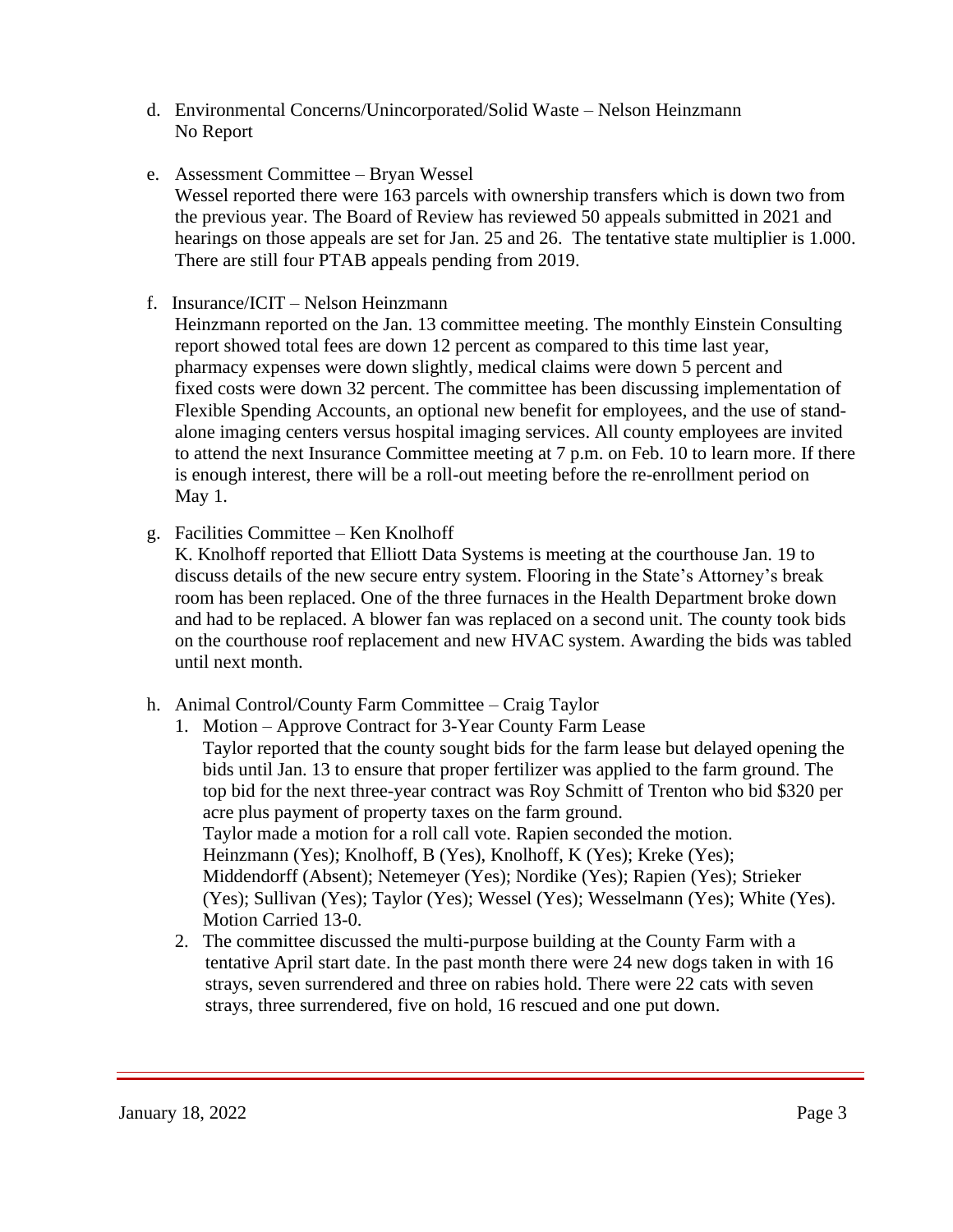- d. Environmental Concerns/Unincorporated/Solid Waste Nelson Heinzmann No Report
- e. Assessment Committee Bryan Wessel Wessel reported there were 163 parcels with ownership transfers which is down two from the previous year. The Board of Review has reviewed 50 appeals submitted in 2021 and hearings on those appeals are set for Jan. 25 and 26. The tentative state multiplier is 1.000. There are still four PTAB appeals pending from 2019.
- f. Insurance/ICIT Nelson Heinzmann

 Heinzmann reported on the Jan. 13 committee meeting. The monthly Einstein Consulting report showed total fees are down 12 percent as compared to this time last year, pharmacy expenses were down slightly, medical claims were down 5 percent and fixed costs were down 32 percent. The committee has been discussing implementation of Flexible Spending Accounts, an optional new benefit for employees, and the use of stand alone imaging centers versus hospital imaging services. All county employees are invited to attend the next Insurance Committee meeting at 7 p.m. on Feb. 10 to learn more. If there is enough interest, there will be a roll-out meeting before the re-enrollment period on May 1.

g. Facilities Committee – Ken Knolhoff

 K. Knolhoff reported that Elliott Data Systems is meeting at the courthouse Jan. 19 to discuss details of the new secure entry system. Flooring in the State's Attorney's break room has been replaced. One of the three furnaces in the Health Department broke down and had to be replaced. A blower fan was replaced on a second unit. The county took bids on the courthouse roof replacement and new HVAC system. Awarding the bids was tabled until next month.

- h. Animal Control/County Farm Committee Craig Taylor
	- 1. Motion Approve Contract for 3-Year County Farm Lease Taylor reported that the county sought bids for the farm lease but delayed opening the bids until Jan. 13 to ensure that proper fertilizer was applied to the farm ground. The top bid for the next three-year contract was Roy Schmitt of Trenton who bid \$320 per acre plus payment of property taxes on the farm ground. Taylor made a motion for a roll call vote. Rapien seconded the motion. Heinzmann (Yes); Knolhoff, B (Yes), Knolhoff, K (Yes); Kreke (Yes); Middendorff (Absent); Netemeyer (Yes); Nordike (Yes); Rapien (Yes); Strieker (Yes); Sullivan (Yes); Taylor (Yes); Wessel (Yes); Wesselmann (Yes); White (Yes). Motion Carried 13-0.
	- 2. The committee discussed the multi-purpose building at the County Farm with a tentative April start date. In the past month there were 24 new dogs taken in with 16 strays, seven surrendered and three on rabies hold. There were 22 cats with seven strays, three surrendered, five on hold, 16 rescued and one put down.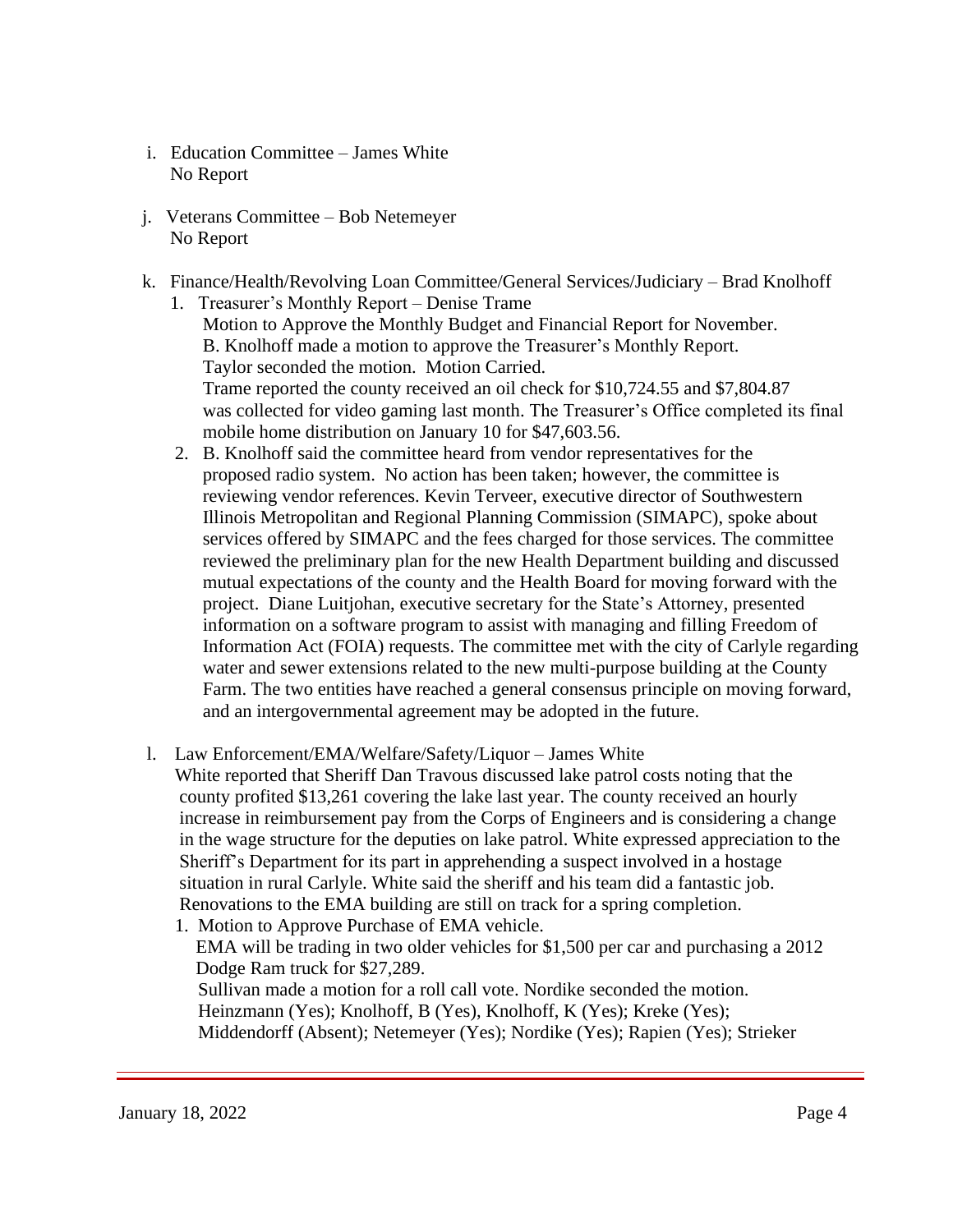- i. Education Committee James White No Report
- j. Veterans Committee Bob Netemeyer No Report
- k. Finance/Health/Revolving Loan Committee/General Services/Judiciary Brad Knolhoff 1. Treasurer's Monthly Report – Denise Trame
	- Motion to Approve the Monthly Budget and Financial Report for November. B. Knolhoff made a motion to approve the Treasurer's Monthly Report. Taylor seconded the motion. Motion Carried. Trame reported the county received an oil check for \$10,724.55 and \$7,804.87 was collected for video gaming last month. The Treasurer's Office completed its final mobile home distribution on January 10 for \$47,603.56.
	- 2. B. Knolhoff said the committee heard from vendor representatives for the proposed radio system. No action has been taken; however, the committee is reviewing vendor references. Kevin Terveer, executive director of Southwestern Illinois Metropolitan and Regional Planning Commission (SIMAPC), spoke about services offered by SIMAPC and the fees charged for those services. The committee reviewed the preliminary plan for the new Health Department building and discussed mutual expectations of the county and the Health Board for moving forward with the project. Diane Luitjohan, executive secretary for the State's Attorney, presented information on a software program to assist with managing and filling Freedom of Information Act (FOIA) requests. The committee met with the city of Carlyle regarding water and sewer extensions related to the new multi-purpose building at the County Farm. The two entities have reached a general consensus principle on moving forward, and an intergovernmental agreement may be adopted in the future.
- l. Law Enforcement/EMA/Welfare/Safety/Liquor James White

White reported that Sheriff Dan Travous discussed lake patrol costs noting that the county profited \$13,261 covering the lake last year. The county received an hourly increase in reimbursement pay from the Corps of Engineers and is considering a change in the wage structure for the deputies on lake patrol. White expressed appreciation to the Sheriff's Department for its part in apprehending a suspect involved in a hostage situation in rural Carlyle. White said the sheriff and his team did a fantastic job. Renovations to the EMA building are still on track for a spring completion.

1. Motion to Approve Purchase of EMA vehicle.

EMA will be trading in two older vehicles for \$1,500 per car and purchasing a 2012 Dodge Ram truck for \$27,289. Sullivan made a motion for a roll call vote. Nordike seconded the motion.

 Heinzmann (Yes); Knolhoff, B (Yes), Knolhoff, K (Yes); Kreke (Yes); Middendorff (Absent); Netemeyer (Yes); Nordike (Yes); Rapien (Yes); Strieker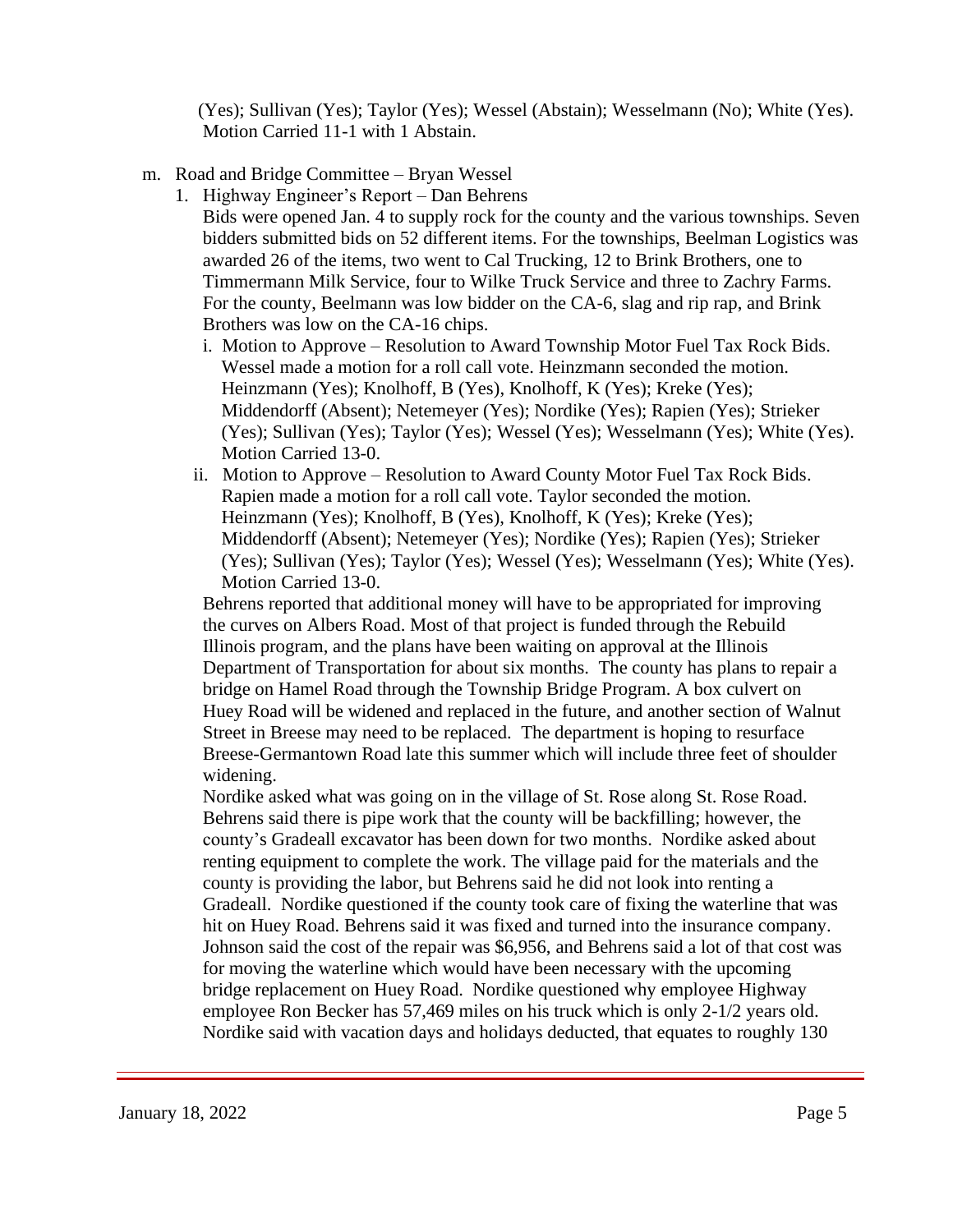(Yes); Sullivan (Yes); Taylor (Yes); Wessel (Abstain); Wesselmann (No); White (Yes). Motion Carried 11-1 with 1 Abstain.

- m. Road and Bridge Committee Bryan Wessel
	- 1. Highway Engineer's Report Dan Behrens

Bids were opened Jan. 4 to supply rock for the county and the various townships. Seven bidders submitted bids on 52 different items. For the townships, Beelman Logistics was awarded 26 of the items, two went to Cal Trucking, 12 to Brink Brothers, one to Timmermann Milk Service, four to Wilke Truck Service and three to Zachry Farms. For the county, Beelmann was low bidder on the CA-6, slag and rip rap, and Brink Brothers was low on the CA-16 chips.

- i. Motion to Approve Resolution to Award Township Motor Fuel Tax Rock Bids. Wessel made a motion for a roll call vote. Heinzmann seconded the motion. Heinzmann (Yes); Knolhoff, B (Yes), Knolhoff, K (Yes); Kreke (Yes); Middendorff (Absent); Netemeyer (Yes); Nordike (Yes); Rapien (Yes); Strieker (Yes); Sullivan (Yes); Taylor (Yes); Wessel (Yes); Wesselmann (Yes); White (Yes). Motion Carried 13-0.
- ii. Motion to Approve Resolution to Award County Motor Fuel Tax Rock Bids. Rapien made a motion for a roll call vote. Taylor seconded the motion. Heinzmann (Yes); Knolhoff, B (Yes), Knolhoff, K (Yes); Kreke (Yes); Middendorff (Absent); Netemeyer (Yes); Nordike (Yes); Rapien (Yes); Strieker (Yes); Sullivan (Yes); Taylor (Yes); Wessel (Yes); Wesselmann (Yes); White (Yes). Motion Carried 13-0.

 Behrens reported that additional money will have to be appropriated for improving the curves on Albers Road. Most of that project is funded through the Rebuild Illinois program, and the plans have been waiting on approval at the Illinois Department of Transportation for about six months. The county has plans to repair a bridge on Hamel Road through the Township Bridge Program. A box culvert on Huey Road will be widened and replaced in the future, and another section of Walnut Street in Breese may need to be replaced. The department is hoping to resurface Breese-Germantown Road late this summer which will include three feet of shoulder widening.

 Nordike asked what was going on in the village of St. Rose along St. Rose Road. Behrens said there is pipe work that the county will be backfilling; however, the county's Gradeall excavator has been down for two months. Nordike asked about renting equipment to complete the work. The village paid for the materials and the county is providing the labor, but Behrens said he did not look into renting a Gradeall. Nordike questioned if the county took care of fixing the waterline that was hit on Huey Road. Behrens said it was fixed and turned into the insurance company. Johnson said the cost of the repair was \$6,956, and Behrens said a lot of that cost was for moving the waterline which would have been necessary with the upcoming bridge replacement on Huey Road. Nordike questioned why employee Highway employee Ron Becker has 57,469 miles on his truck which is only 2-1/2 years old. Nordike said with vacation days and holidays deducted, that equates to roughly 130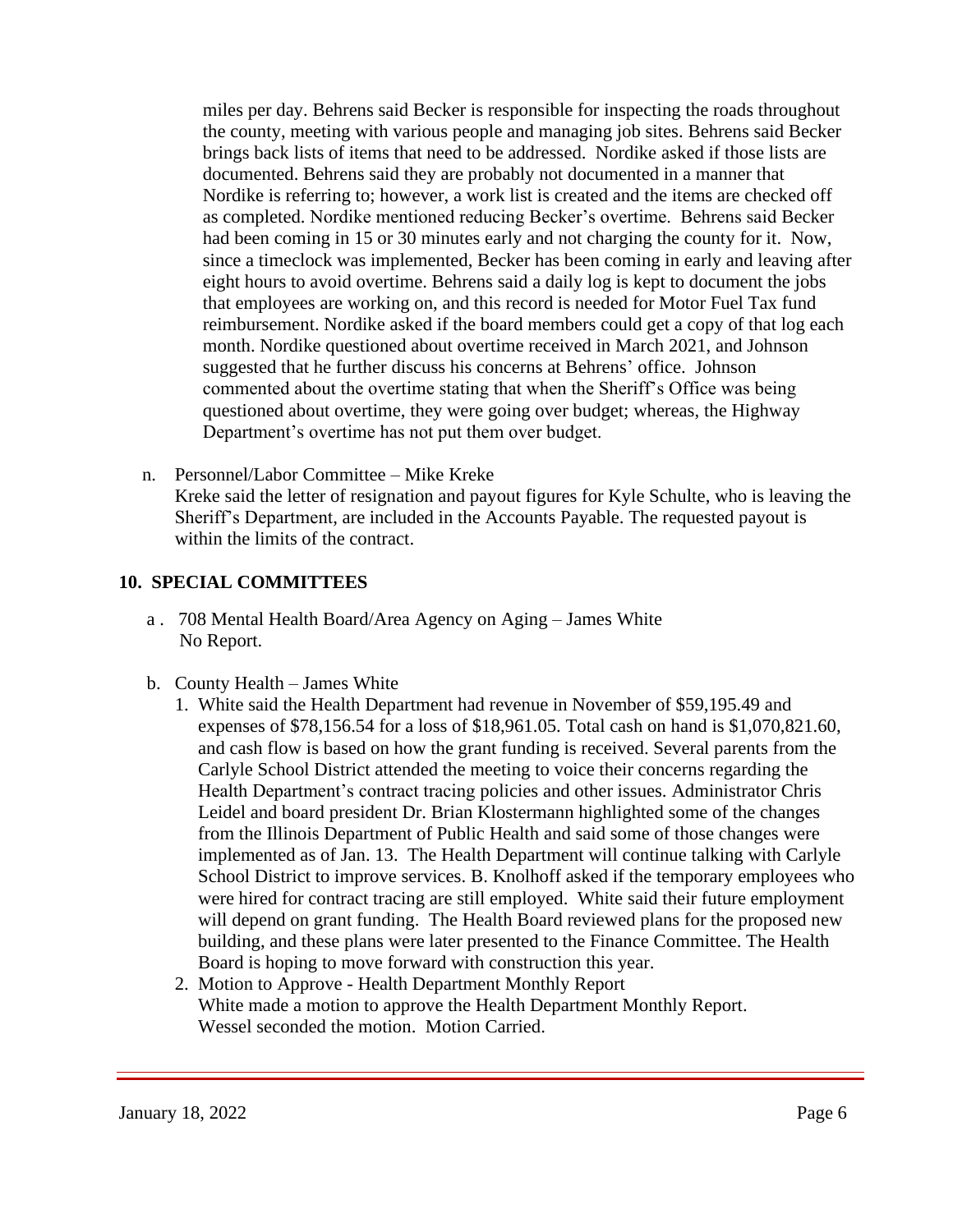miles per day. Behrens said Becker is responsible for inspecting the roads throughout the county, meeting with various people and managing job sites. Behrens said Becker brings back lists of items that need to be addressed. Nordike asked if those lists are documented. Behrens said they are probably not documented in a manner that Nordike is referring to; however, a work list is created and the items are checked off as completed. Nordike mentioned reducing Becker's overtime. Behrens said Becker had been coming in 15 or 30 minutes early and not charging the county for it. Now, since a timeclock was implemented, Becker has been coming in early and leaving after eight hours to avoid overtime. Behrens said a daily log is kept to document the jobs that employees are working on, and this record is needed for Motor Fuel Tax fund reimbursement. Nordike asked if the board members could get a copy of that log each month. Nordike questioned about overtime received in March 2021, and Johnson suggested that he further discuss his concerns at Behrens' office. Johnson commented about the overtime stating that when the Sheriff's Office was being questioned about overtime, they were going over budget; whereas, the Highway Department's overtime has not put them over budget.

 n. Personnel/Labor Committee – Mike Kreke Kreke said the letter of resignation and payout figures for Kyle Schulte, who is leaving the Sheriff's Department, are included in the Accounts Payable. The requested payout is within the limits of the contract.

#### **10. SPECIAL COMMITTEES**

- a . 708 Mental Health Board/Area Agency on Aging James White No Report.
- b. County Health James White
	- 1. White said the Health Department had revenue in November of \$59,195.49 and expenses of \$78,156.54 for a loss of \$18,961.05. Total cash on hand is \$1,070,821.60, and cash flow is based on how the grant funding is received. Several parents from the Carlyle School District attended the meeting to voice their concerns regarding the Health Department's contract tracing policies and other issues. Administrator Chris Leidel and board president Dr. Brian Klostermann highlighted some of the changes from the Illinois Department of Public Health and said some of those changes were implemented as of Jan. 13. The Health Department will continue talking with Carlyle School District to improve services. B. Knolhoff asked if the temporary employees who were hired for contract tracing are still employed. White said their future employment will depend on grant funding. The Health Board reviewed plans for the proposed new building, and these plans were later presented to the Finance Committee. The Health Board is hoping to move forward with construction this year.
	- 2. Motion to Approve Health Department Monthly Report White made a motion to approve the Health Department Monthly Report. Wessel seconded the motion. Motion Carried.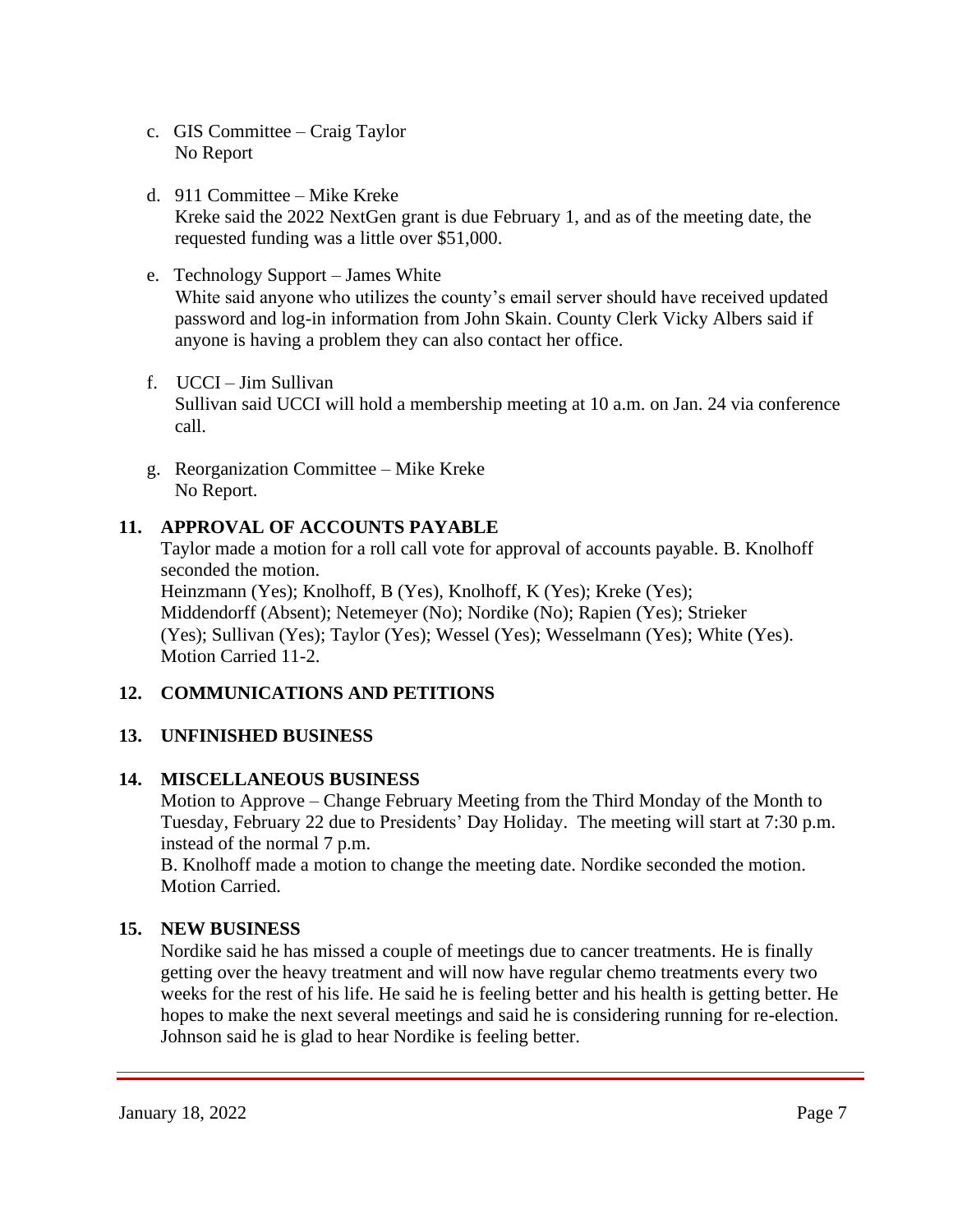- c. GIS Committee Craig Taylor No Report
- d. 911 Committee Mike Kreke Kreke said the 2022 NextGen grant is due February 1, and as of the meeting date, the requested funding was a little over \$51,000.
- e. Technology Support James White White said anyone who utilizes the county's email server should have received updated password and log-in information from John Skain. County Clerk Vicky Albers said if anyone is having a problem they can also contact her office.
- f. UCCI Jim Sullivan Sullivan said UCCI will hold a membership meeting at 10 a.m. on Jan. 24 via conference call.
- g. Reorganization Committee Mike Kreke No Report.

# **11. APPROVAL OF ACCOUNTS PAYABLE**

Taylor made a motion for a roll call vote for approval of accounts payable. B. Knolhoff seconded the motion. Heinzmann (Yes); Knolhoff, B (Yes), Knolhoff, K (Yes); Kreke (Yes); Middendorff (Absent); Netemeyer (No); Nordike (No); Rapien (Yes); Strieker (Yes); Sullivan (Yes); Taylor (Yes); Wessel (Yes); Wesselmann (Yes); White (Yes). Motion Carried 11-2.

# **12. COMMUNICATIONS AND PETITIONS**

# **13. UNFINISHED BUSINESS**

## **14. MISCELLANEOUS BUSINESS**

Motion to Approve – Change February Meeting from the Third Monday of the Month to Tuesday, February 22 due to Presidents' Day Holiday. The meeting will start at 7:30 p.m. instead of the normal 7 p.m.

 B. Knolhoff made a motion to change the meeting date. Nordike seconded the motion. Motion Carried.

## **15. NEW BUSINESS**

Nordike said he has missed a couple of meetings due to cancer treatments. He is finally getting over the heavy treatment and will now have regular chemo treatments every two weeks for the rest of his life. He said he is feeling better and his health is getting better. He hopes to make the next several meetings and said he is considering running for re-election. Johnson said he is glad to hear Nordike is feeling better.